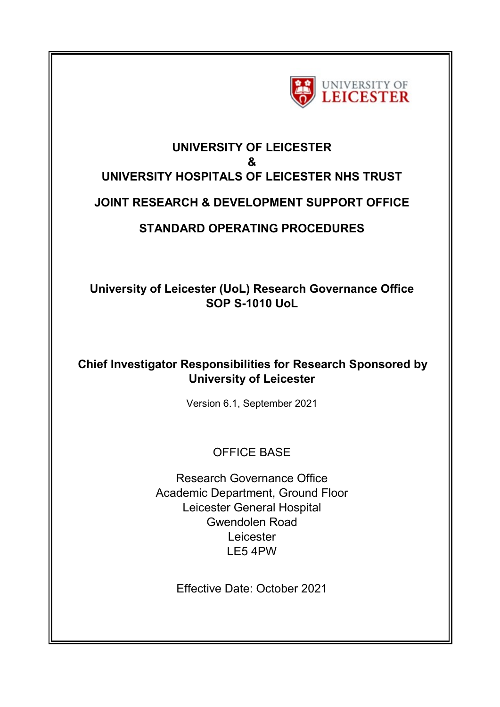

# **UNIVERSITY OF LEICESTER & UNIVERSITY HOSPITALS OF LEICESTER NHS TRUST JOINT RESEARCH & DEVELOPMENT SUPPORT OFFICE STANDARD OPERATING PROCEDURES**

**University of Leicester (UoL) Research Governance Office SOP S-1010 UoL** 

# **Chief Investigator Responsibilities for Research Sponsored by University of Leicester**

Version 6.1, September 2021

# OFFICE BASE

Research Governance Office Academic Department, Ground Floor Leicester General Hospital Gwendolen Road Leicester LE5 4PW

Effective Date: October 2021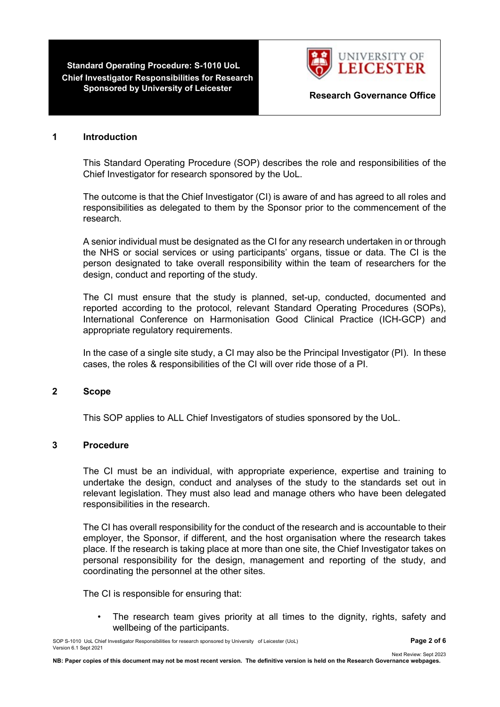**Standard Operating Procedure: S-1010 UoL Chief Investigator Responsibilities for Research** 



**Research Governance Office** 

#### **1 Introduction**

This Standard Operating Procedure (SOP) describes the role and responsibilities of the Chief Investigator for research sponsored by the UoL.

The outcome is that the Chief Investigator (CI) is aware of and has agreed to all roles and responsibilities as delegated to them by the Sponsor prior to the commencement of the research.

A senior individual must be designated as the CI for any research undertaken in or through the NHS or social services or using participants' organs, tissue or data. The CI is the person designated to take overall responsibility within the team of researchers for the design, conduct and reporting of the study.

The CI must ensure that the study is planned, set-up, conducted, documented and reported according to the protocol, relevant Standard Operating Procedures (SOPs), International Conference on Harmonisation Good Clinical Practice (ICH-GCP) and appropriate regulatory requirements.

In the case of a single site study, a CI may also be the Principal Investigator (PI). In these cases, the roles & responsibilities of the CI will over ride those of a PI.

### **2 Scope**

This SOP applies to ALL Chief Investigators of studies sponsored by the UoL.

### **3 Procedure**

The CI must be an individual, with appropriate experience, expertise and training to undertake the design, conduct and analyses of the study to the standards set out in relevant legislation. They must also lead and manage others who have been delegated responsibilities in the research.

The CI has overall responsibility for the conduct of the research and is accountable to their employer, the Sponsor, if different, and the host organisation where the research takes place. If the research is taking place at more than one site, the Chief Investigator takes on personal responsibility for the design, management and reporting of the study, and coordinating the personnel at the other sites.

The CI is responsible for ensuring that:

The research team gives priority at all times to the dignity, rights, safety and wellbeing of the participants.

SOP S-1010 UoL Chief Investigator Responsibilities for research sponsored by University of Leicester (UoL) **Page 2 of 6** Version 6.1 Sept 2021

Next Review: Sept 2023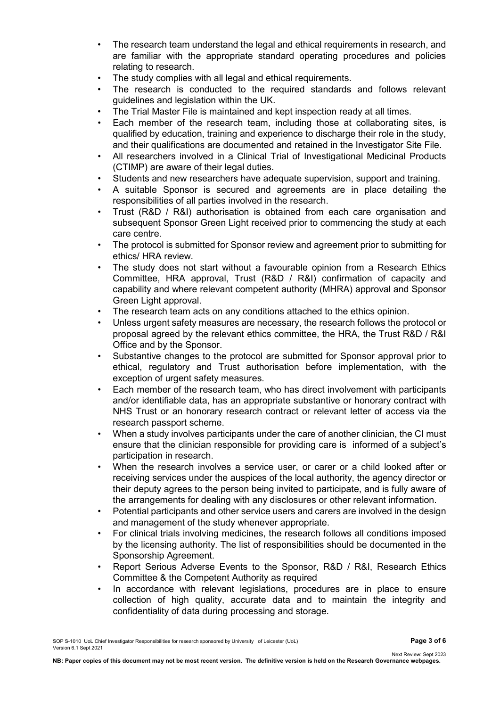- The research team understand the legal and ethical requirements in research, and are familiar with the appropriate standard operating procedures and policies relating to research.
- The study complies with all legal and ethical requirements.
- The research is conducted to the required standards and follows relevant guidelines and legislation within the UK.
- The Trial Master File is maintained and kept inspection ready at all times.
- Each member of the research team, including those at collaborating sites, is qualified by education, training and experience to discharge their role in the study, and their qualifications are documented and retained in the Investigator Site File.
- All researchers involved in a Clinical Trial of Investigational Medicinal Products (CTIMP) are aware of their legal duties.
- Students and new researchers have adequate supervision, support and training.
- A suitable Sponsor is secured and agreements are in place detailing the responsibilities of all parties involved in the research.
- Trust (R&D / R&I) authorisation is obtained from each care organisation and subsequent Sponsor Green Light received prior to commencing the study at each care centre.
- The protocol is submitted for Sponsor review and agreement prior to submitting for ethics/ HRA review.
- The study does not start without a favourable opinion from a Research Ethics Committee, HRA approval, Trust (R&D / R&I) confirmation of capacity and capability and where relevant competent authority (MHRA) approval and Sponsor Green Light approval.
- The research team acts on any conditions attached to the ethics opinion.
- Unless urgent safety measures are necessary, the research follows the protocol or proposal agreed by the relevant ethics committee, the HRA, the Trust R&D / R&I Office and by the Sponsor.
- Substantive changes to the protocol are submitted for Sponsor approval prior to ethical, regulatory and Trust authorisation before implementation, with the exception of urgent safety measures.
- Each member of the research team, who has direct involvement with participants and/or identifiable data, has an appropriate substantive or honorary contract with NHS Trust or an honorary research contract or relevant letter of access via the research passport scheme.
- When a study involves participants under the care of another clinician, the CI must ensure that the clinician responsible for providing care is informed of a subject's participation in research.
- When the research involves a service user, or carer or a child looked after or receiving services under the auspices of the local authority, the agency director or their deputy agrees to the person being invited to participate, and is fully aware of the arrangements for dealing with any disclosures or other relevant information.
- Potential participants and other service users and carers are involved in the design and management of the study whenever appropriate.
- For clinical trials involving medicines, the research follows all conditions imposed by the licensing authority. The list of responsibilities should be documented in the Sponsorship Agreement.
- Report Serious Adverse Events to the Sponsor, R&D / R&I, Research Ethics Committee & the Competent Authority as required
- In accordance with relevant legislations, procedures are in place to ensure collection of high quality, accurate data and to maintain the integrity and confidentiality of data during processing and storage.

Next Review: Sept 2023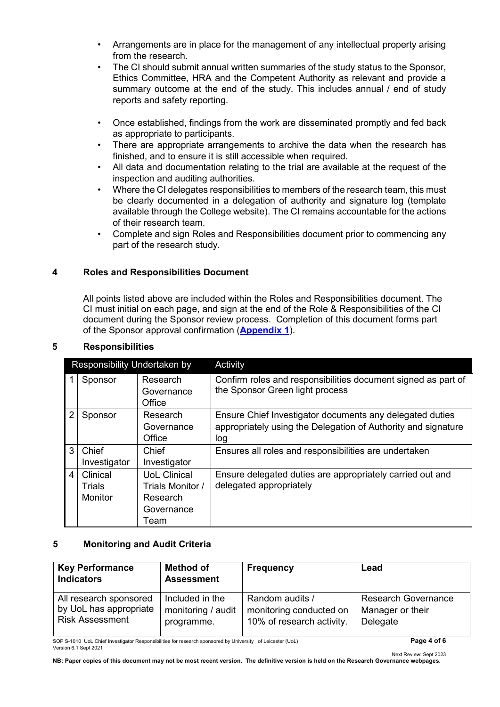- Arrangements are in place for the management of any intellectual property arising from the research.
- The CI should submit annual written summaries of the study status to the Sponsor, Ethics Committee, HRA and the Competent Authority as relevant and provide a summary outcome at the end of the study. This includes annual / end of study reports and safety reporting.
- Once established, findings from the work are disseminated promptly and fed back as appropriate to participants.
- There are appropriate arrangements to archive the data when the research has finished, and to ensure it is still accessible when required.
- All data and documentation relating to the trial are available at the request of the inspection and auditing authorities.
- Where the CI delegates responsibilities to members of the research team, this must be clearly documented in a delegation of authority and signature log (template available through the College website). The CI remains accountable for the actions of their research team.
- Complete and sign Roles and Responsibilities document prior to commencing any part of the research study.

# **4 Roles and Responsibilities Document**

All points listed above are included within the Roles and Responsibilities document. The CI must initial on each page, and sign at the end of the Role & Responsibilities of the CI document during the Sponsor review process. Completion of this document forms part of the Sponsor approval confirmation (**Appendix 1**[\).](https://www2.le.ac.uk/colleges/medbiopsych/research/researchgovernance/Research_sponsorship/standard-operational-procedures-and-related-forms/sops/appendices/sop-s-1010/sop-s-1010-appendix-1-roles-and-reponsibilities-of-ci-agreement)

| Responsibility Undertaken by |                                      |                                                                           | Activity                                                                                                                         |
|------------------------------|--------------------------------------|---------------------------------------------------------------------------|----------------------------------------------------------------------------------------------------------------------------------|
|                              | Sponsor                              | Research<br>Governance<br>Office                                          | Confirm roles and responsibilities document signed as part of<br>the Sponsor Green light process                                 |
| $\overline{2}$               | Sponsor                              | Research<br>Governance<br>Office                                          | Ensure Chief Investigator documents any delegated duties<br>appropriately using the Delegation of Authority and signature<br>log |
| 3                            | Chief<br>Investigator                | Chief<br>Investigator                                                     | Ensures all roles and responsibilities are undertaken                                                                            |
| 4                            | Clinical<br>Trials<br><b>Monitor</b> | <b>UoL Clinical</b><br>Trials Monitor /<br>Research<br>Governance<br>Team | Ensure delegated duties are appropriately carried out and<br>delegated appropriately                                             |

### **5 Responsibilities**

### **5 Monitoring and Audit Criteria**

| <b>Key Performance</b><br><b>Indicators</b> | <b>Method of</b><br><b>Assessment</b> | <b>Frequency</b>          | Lead                       |
|---------------------------------------------|---------------------------------------|---------------------------|----------------------------|
| All research sponsored                      | Included in the                       | Random audits /           | <b>Research Governance</b> |
| by UoL has appropriate                      | monitoring / audit                    | monitoring conducted on   | Manager or their           |
| <b>Risk Assessment</b>                      | programme.                            | 10% of research activity. | Delegate                   |

SOP S-1010 UoL Chief Investigator Responsibilities for research sponsored by University of Leicester (UoL) **Page 4 of 6** Version 6.1 Sept 2021

Next Review: Sept 2023 **NB: Paper copies of this document may not be most recent version. The definitive version is held on the Research Governance webpages.**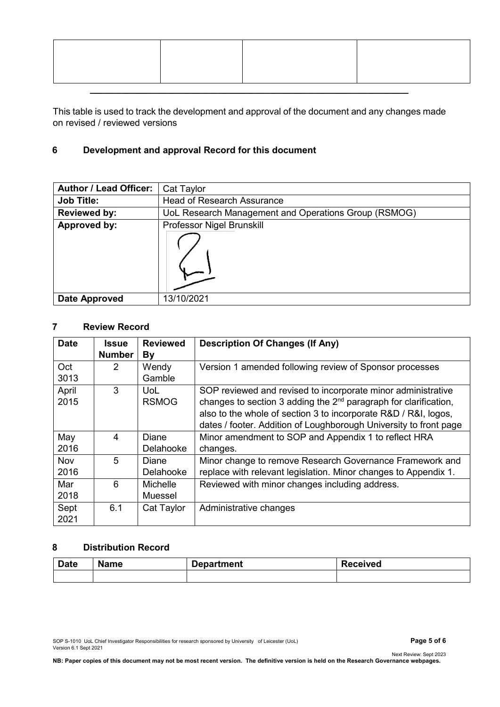This table is used to track the development and approval of the document and any changes made on revised / reviewed versions

# **6 Development and approval Record for this document**

| <b>Author / Lead Officer:</b> | Cat Taylor                                           |
|-------------------------------|------------------------------------------------------|
| <b>Job Title:</b>             | <b>Head of Research Assurance</b>                    |
| <b>Reviewed by:</b>           | UoL Research Management and Operations Group (RSMOG) |
| Approved by:                  | Professor Nigel Brunskill                            |
|                               |                                                      |
| <b>Date Approved</b>          | 13/10/2021                                           |

# **7 Review Record**

| <b>Date</b>          | Issue<br><b>Number</b> | <b>Reviewed</b><br>By                                                        | <b>Description Of Changes (If Any)</b>                            |  |
|----------------------|------------------------|------------------------------------------------------------------------------|-------------------------------------------------------------------|--|
|                      |                        |                                                                              |                                                                   |  |
| Oct                  | 2                      | Wendy                                                                        | Version 1 amended following review of Sponsor processes           |  |
| 3013                 |                        | Gamble                                                                       |                                                                   |  |
| April                | 3                      | UoL                                                                          | SOP reviewed and revised to incorporate minor administrative      |  |
| 2015<br><b>RSMOG</b> |                        | changes to section 3 adding the 2 <sup>nd</sup> paragraph for clarification, |                                                                   |  |
|                      |                        |                                                                              | also to the whole of section 3 to incorporate R&D / R&I, logos,   |  |
|                      |                        |                                                                              | dates / footer. Addition of Loughborough University to front page |  |
| May                  | 4                      | Diane                                                                        | Minor amendment to SOP and Appendix 1 to reflect HRA              |  |
| 2016                 |                        | Delahooke                                                                    | changes.                                                          |  |
| <b>Nov</b>           | 5                      | Diane                                                                        | Minor change to remove Research Governance Framework and          |  |
| 2016                 |                        | Delahooke                                                                    | replace with relevant legislation. Minor changes to Appendix 1.   |  |
| Mar                  | 6                      | <b>Michelle</b>                                                              | Reviewed with minor changes including address.                    |  |
| 2018                 |                        | Muessel                                                                      |                                                                   |  |
| Sept                 | 6.1                    | Cat Taylor                                                                   | Administrative changes                                            |  |
| 2021                 |                        |                                                                              |                                                                   |  |

# **8 Distribution Record**

| <b>Date</b> | <b>Name</b> | Department | <b>Received</b> |
|-------------|-------------|------------|-----------------|
|             |             |            |                 |

SOP S-1010 UoL Chief Investigator Responsibilities for research sponsored by University of Leicester (UoL) **Page 5 of 6** Version 6.1 Sept 2021

Next Review: Sept 2023 **NB: Paper copies of this document may not be most recent version. The definitive version is held on the Research Governance webpages.**